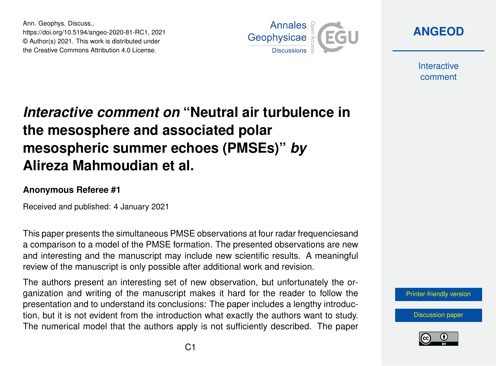Ann. Geophys. Discuss., https://doi.org/10.5194/angeo-2020-81-RC1, 2021 © Author(s) 2021. This work is distributed under the Creative Commons Attribution 4.0 License.



**[ANGEOD](https://angeo.copernicus.org/preprints/)**

**Interactive** comment

## *Interactive comment on* **"Neutral air turbulence in the mesosphere and associated polar mesospheric summer echoes (PMSEs)"** *by* **Alireza Mahmoudian et al.**

## **Anonymous Referee #1**

Received and published: 4 January 2021

This paper presents the simultaneous PMSE observations at four radar frequenciesand a comparison to a model of the PMSE formation. The presented observations are new and interesting and the manuscript may include new scientific results. A meaningful review of the manuscript is only possible after additional work and revision.

The authors present an interesting set of new observation, but unfortunately the organization and writing of the manuscript makes it hard for the reader to follow the presentation and to understand its conclusions: The paper includes a lengthy introduction, but it is not evident from the introduction what exactly the authors want to study. The numerical model that the authors apply is not sufficiently described. The paper



[Discussion paper](https://angeo.copernicus.org/preprints/angeo-2020-81)